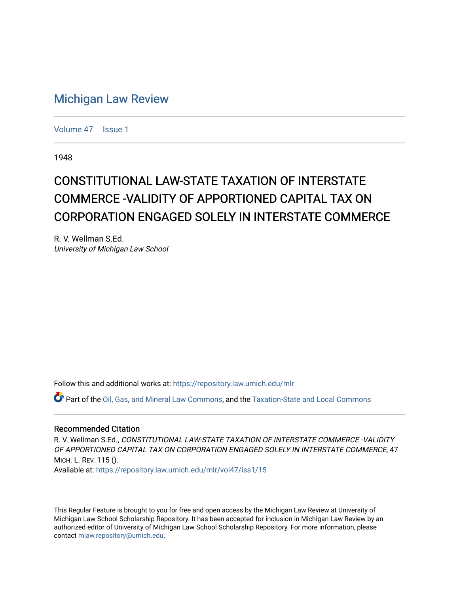## [Michigan Law Review](https://repository.law.umich.edu/mlr)

[Volume 47](https://repository.law.umich.edu/mlr/vol47) | [Issue 1](https://repository.law.umich.edu/mlr/vol47/iss1)

1948

## CONSTITUTIONAL LAW-STATE TAXATION OF INTERSTATE COMMERCE -VALIDITY OF APPORTIONED CAPITAL TAX ON CORPORATION ENGAGED SOLELY IN INTERSTATE COMMERCE

R. V. Wellman S.Ed. University of Michigan Law School

Follow this and additional works at: [https://repository.law.umich.edu/mlr](https://repository.law.umich.edu/mlr?utm_source=repository.law.umich.edu%2Fmlr%2Fvol47%2Fiss1%2F15&utm_medium=PDF&utm_campaign=PDFCoverPages) 

Part of the [Oil, Gas, and Mineral Law Commons,](http://network.bepress.com/hgg/discipline/864?utm_source=repository.law.umich.edu%2Fmlr%2Fvol47%2Fiss1%2F15&utm_medium=PDF&utm_campaign=PDFCoverPages) and the [Taxation-State and Local Commons](http://network.bepress.com/hgg/discipline/882?utm_source=repository.law.umich.edu%2Fmlr%2Fvol47%2Fiss1%2F15&utm_medium=PDF&utm_campaign=PDFCoverPages)

## Recommended Citation

R. V. Wellman S.Ed., CONSTITUTIONAL LAW-STATE TAXATION OF INTERSTATE COMMERCE -VALIDITY OF APPORTIONED CAPITAL TAX ON CORPORATION ENGAGED SOLELY IN INTERSTATE COMMERCE, 47 MICH. L. REV. 115 (). Available at: [https://repository.law.umich.edu/mlr/vol47/iss1/15](https://repository.law.umich.edu/mlr/vol47/iss1/15?utm_source=repository.law.umich.edu%2Fmlr%2Fvol47%2Fiss1%2F15&utm_medium=PDF&utm_campaign=PDFCoverPages) 

This Regular Feature is brought to you for free and open access by the Michigan Law Review at University of Michigan Law School Scholarship Repository. It has been accepted for inclusion in Michigan Law Review by an authorized editor of University of Michigan Law School Scholarship Repository. For more information, please contact [mlaw.repository@umich.edu](mailto:mlaw.repository@umich.edu).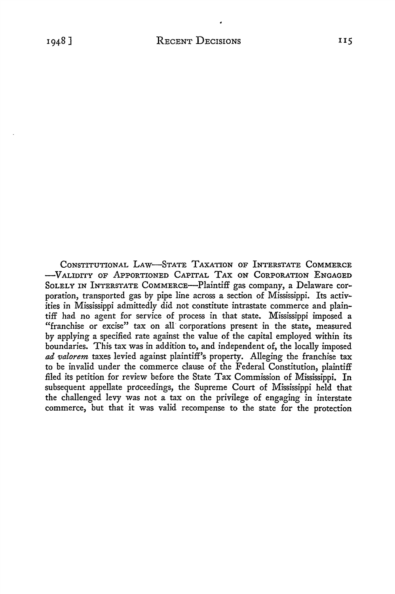CONSTITUTIONAL LAW-STATE TAXATION OF INTERSTATE COMMERCE -VALIDITY OF APPORTIONED CAPITAL TAX ON CORPORATION ENGAGED SoLELY IN INTERSTATE COMMERCE-Plaintiff gas company, a Delaware corporation, transported gas by pipe line across a section of Mississippi. Its activities in Mississippi admittedly did not constitute intrastate commerce and plaintiff had no agent for service of process in that state. Mississippi imposed a "franchise or excise" tax on all corporations present in the state, measured by applying a specified rate against the value of the capital employed within its boundaries. This tax was in addition to, and independent of, the locally imposed *ad valorem* taxes levied against plaintiff's property. Alleging the franchise tax to be invalid under the commerce clause of the Federal Constitution, plaintiff filed its petition for review before the State Tax Commission of Mississippi. In subsequent appellate proceedings, the Supreme Court of Mississippi held that the challenged levy was not a tax on the privilege of engaging in interstate commerce, but that it was valid recompense to the state for the protection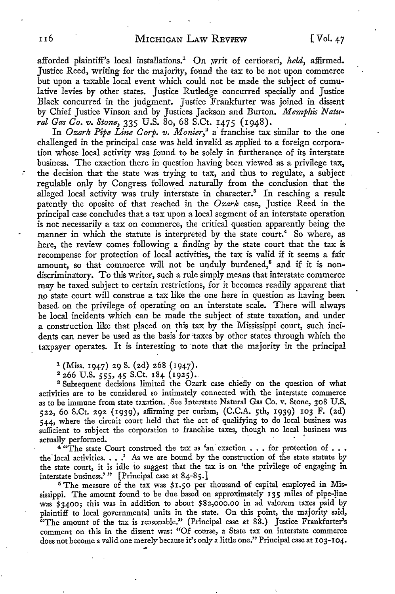afforded plaintiff's local installations.<sup>1</sup> On writ of certiorari, *held*, affirmed. Justice Reed, writing for the majority, found the tax to be not upon commerce but upon a taxable local event which could not be made the subject of cumulative levies by other states. Justice Rutledge concurred specially and Justice Black concurred in the judgment. Justice Frankfurter was joined in dissent by Chief Justice Vinson and by Justices Jackson and Burton. *Memphis Natural Gas Co. v. Stone,* 335 U.S. 80, 68 S.Ct. 1475 (1948).

In *Ozark Pipe Line Corp. v. Monier*,<sup>2</sup> a franchise tax similar to the one challenged in the principal case was held invalid as applied to a foreign corporation whose local activity was found to be solely in furtherance of its interstate business. The exaction there in question having been viewed as a privilege tax, the decision that the state was trying to tax, and thus to regulate, a subject regulable only by Congress followed naturally from the conclusion that the alleged local activity was truly interstate in character.<sup>8</sup> In reaching a result patently the oposite of that reached in the *Ozark* case, Justice Reed in the principal case concludes that a tax upon a local segment of an interstate operation is not necessarily a tax on commerce, the critical question apparently being the manner in which the statute is interpreted by the state court.<sup>4</sup> So where, as here, the review comes following a finding by the state court that the tax is recompense for protection of local activities, the tax is valid if it seems a fair amount, so that commerce will not be unduly burdened,<sup>5</sup> and if it is nondiscriminatory. To this writer, such a rule simply means that interstate commerce may be taxed subject to certain restrictions, for it becomes readily apparent that no state court will construe a tax like the one here in question as having been based on the privilege of operating on an interstate scale. There will always be local incidents which can be made the subject of state taxation, and under a construction like that placed on this tax by the Mississippi court, such incidents can never be used as the basis' for 'taxes by other states through which the taxpayer operates. It is interesting to ·note that the majority in the principal

 $1$  (Miss. 1947) 29 S. (2d) 268 (1947).

2 266 U.S. *555,* 45 S.Ct. 184 (1925) •.

"'

<sup>8</sup> Subsequent decisions limited the Ozark case chiefly on the question of what activities are to be considered so intimately connected with the interstate commerce as to be immune from state taxation. See Interstate Natural Gas Co. v. Stone, 308 U.S. 522, 60 S.Ct. 292 (1939), affirming per curiam, (C.C.A. 5th, 1939) 103 F. (2d) 544, where the circuit court held that the act of qualifying to do local business was sufficient to subject the corporation to franchise taxes, though no local business was actually performed.

 $4^{4}$   $\text{``The state Court constructed the tax as 'an' exaction . . for protection of . .}$ the local activities.  $\ldots$ . As we are bound by the construction of the state statute by the state court, it is idle to suggest that the tax is on 'the privilege of engaging in interstate business.'" [Principal case at 84-85.]

<sup>5</sup> The measure of the tax was \$1.50 per thousand of capital employed in Mississippi. The amount found to be due based on approximately 135 miles of pipe-line was \$3400; this was in addition to about \$82,000.00 in ad valorem taxes paid by plaintiff to local governmental units in the state. On this point, the majority said, <sup>7</sup>The amount of the tax is reasonable." (Principal case at 88.) Justice Frankfurter's comment on this in the dissent was: "Of course, a State tax on interstate commerce does not become a valid one merely because it's only a little one." Principal case at 103-104.